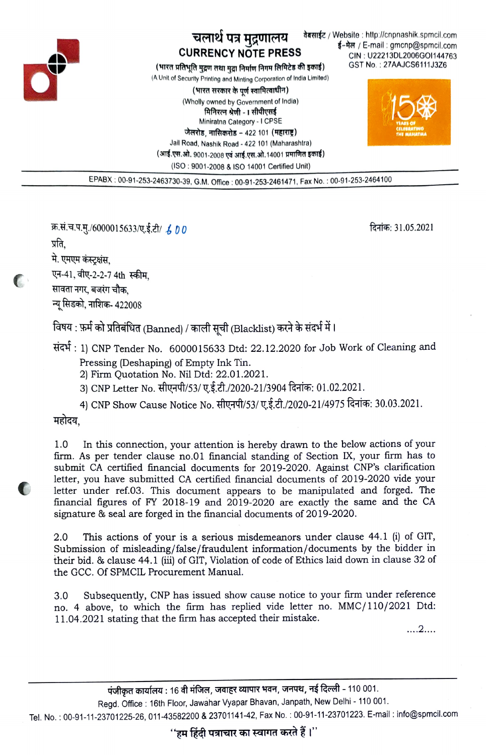

## चलार्थ पत्र मुद्रणालय CURRENCY NOTE PRESS

(भारत प्रतिभूति मुद्रण तथा मद्या निर्माण निगम लिमिटेड की इकाई)

(A Unit of Security Printing and Minting Corporatlon of India Limited) (भारत सरकार के पर्ण स्वामित्वाधीन)

> (Wholly owned by Government of India)<br>भिनिरत्न श्रेणी - I सीपीएसई Miniratna Category- 1 CPSE

जेलरोड, नासिकरोड – 422 101 (महाराष्ट्र)

Jall Road, Nashik Road-422 101 (Maharashtra) (आई.एस.ओ. 9001-2008 एवं आई.एस.ओ.14001 प्रमाणित इकाई) (ISO: 9001-2008 & ISO 14001 Certified Unit)

daर्साईट / Website : http://cnpnashik.spmcil.com<br>-trail : gmonp@spmcil.com -trimail : formail CIN: U22213DL2006GO1144763 GST No. 27AAJCS6111J3Z6



EPABX: 00-91-253-2463730-39, G.M. Office: 00-91-253-2461471, Fax No.: 00-91-253-2464100

क्र.सं.च.प.मु./6000015633/ए.ई.टी/ *も 0 0* feHt6: 31.05.2021 feHT6: 31.05.2021<br>प्रति.

 $\sqrt{2}$ 

मे. एमएम कंस्ट्रक्षंस,<br>एन-41, वीए-2-2-7 4th स्कीम,<br>सावता नगर, बजरंग चौक,

न्यू सिडको, नाशिक- 422008

विषय : फ़र्म को प्रतिबंधित (Banned) / काली सची (Blacklist) करने के संदर्भ में ।

 $\vec{H}$ : 1) CNP Tender No. 6000015633 Dtd: 22.12.2020 for Job Work of Cleaning and Pressing (Deshaping) of Empty Ink Tin.

2) Firm Quotation No. Nil Dtd: 22.01.2021.

3) CNP Letter No. सीएनपी/53/ ए.ई.टी./2020-21/3904 दिनांक: 01.02.2021.

4) CNP Show Cause Notice No. सीएनपी/53/ ए.ई.टी./2020-21/4975 दिनांक: 30.03.2021.

महोदय.

In this connection, your attention is hereby drawn to the below actions of your firm. As per tender clause no.01 financial standing of Section IX, your firm has to submit CA certified financial documents for 2019-2020. Against CNP's clarification letter, you have submitted CA certified financial documents of 2019-2020 vide your letter under ref.03. This document appears to be manipulated and forged. The financial figures of FY 2018-19 and 2019-2020 are exactly the same and the CA signature & seal are forged in the financial documents of 2019-2020. 1.0

This actions of your is a serious misdemeanors under clause 44.1 (i) of GIT, Submission of misleading/false/fraudulent information/documents by the bidder in their bid. & clause 44.1 (ii) of GIT, Violation of code of Ethics laid down in clause 32 of the GCC. Of SPMCIL Procurement Manual. 2.0

3.0 Subsequently, CNP has issued show cause notice to your firm under reference no. 4 above, to which the firm has replied vide letter no. MMC/1 10/2021 Dtd 11.04.2021 stating that the firm has accepted their mistake.

....2....

Regd. Office: 16th Floor, Jawahar Vyapar Bhavan, Janpath, New Delhi - 110 001.

Tel. No.: 00-91-11-23701225-26, 011-43582200 & 23701141-42, Fax No.: 00-91-11-23701223. E-mail: info@spmcil.com

''हम हिंदी पत्राचार का स्वागत करते हैं।''